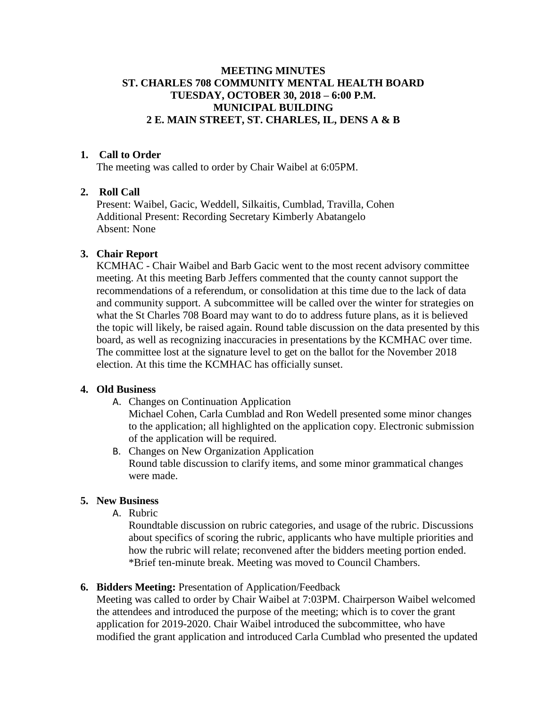## **MEETING MINUTES ST. CHARLES 708 COMMUNITY MENTAL HEALTH BOARD TUESDAY, OCTOBER 30, 2018 – 6:00 P.M. MUNICIPAL BUILDING 2 E. MAIN STREET, ST. CHARLES, IL, DENS A & B**

### **1. Call to Order**

The meeting was called to order by Chair Waibel at 6:05PM.

### **2. Roll Call**

Present: Waibel, Gacic, Weddell, Silkaitis, Cumblad, Travilla, Cohen Additional Present: Recording Secretary Kimberly Abatangelo Absent: None

#### **3. Chair Report**

KCMHAC - Chair Waibel and Barb Gacic went to the most recent advisory committee meeting. At this meeting Barb Jeffers commented that the county cannot support the recommendations of a referendum, or consolidation at this time due to the lack of data and community support. A subcommittee will be called over the winter for strategies on what the St Charles 708 Board may want to do to address future plans, as it is believed the topic will likely, be raised again. Round table discussion on the data presented by this board, as well as recognizing inaccuracies in presentations by the KCMHAC over time. The committee lost at the signature level to get on the ballot for the November 2018 election. At this time the KCMHAC has officially sunset.

### **4. Old Business**

A. Changes on Continuation Application

Michael Cohen, Carla Cumblad and Ron Wedell presented some minor changes to the application; all highlighted on the application copy. Electronic submission of the application will be required.

B. Changes on New Organization Application Round table discussion to clarify items, and some minor grammatical changes were made.

#### **5. New Business**

A. Rubric

Roundtable discussion on rubric categories, and usage of the rubric. Discussions about specifics of scoring the rubric, applicants who have multiple priorities and how the rubric will relate; reconvened after the bidders meeting portion ended. \*Brief ten-minute break. Meeting was moved to Council Chambers.

#### **6. Bidders Meeting:** Presentation of Application/Feedback

Meeting was called to order by Chair Waibel at 7:03PM. Chairperson Waibel welcomed the attendees and introduced the purpose of the meeting; which is to cover the grant application for 2019-2020. Chair Waibel introduced the subcommittee, who have modified the grant application and introduced Carla Cumblad who presented the updated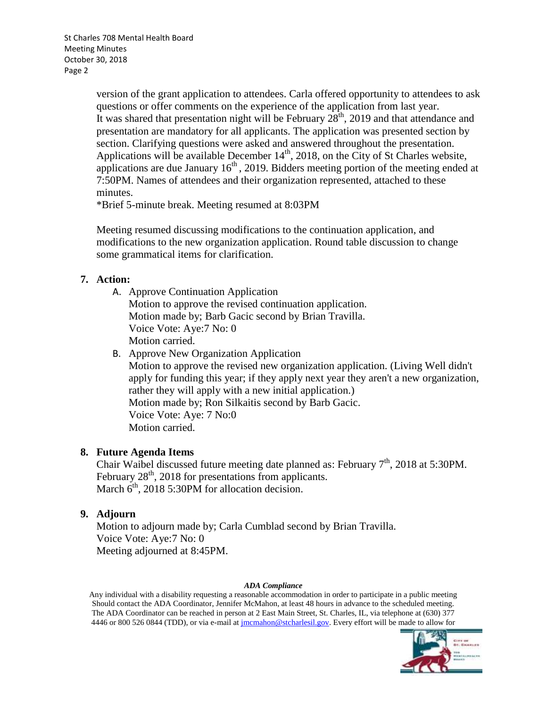St Charles 708 Mental Health Board Meeting Minutes October 30, 2018 Page 2

> version of the grant application to attendees. Carla offered opportunity to attendees to ask questions or offer comments on the experience of the application from last year. It was shared that presentation night will be February  $28<sup>th</sup>$ , 2019 and that attendance and presentation are mandatory for all applicants. The application was presented section by section. Clarifying questions were asked and answered throughout the presentation. Applications will be available December  $14<sup>th</sup>$ , 2018, on the City of St Charles website, applications are due January  $16<sup>th</sup>$ , 2019. Bidders meeting portion of the meeting ended at 7:50PM. Names of attendees and their organization represented, attached to these minutes.

\*Brief 5-minute break. Meeting resumed at 8:03PM

Meeting resumed discussing modifications to the continuation application, and modifications to the new organization application. Round table discussion to change some grammatical items for clarification.

### **7. Action:**

- A. Approve Continuation Application Motion to approve the revised continuation application. Motion made by; Barb Gacic second by Brian Travilla. Voice Vote: Aye:7 No: 0 Motion carried.
- B. Approve New Organization Application Motion to approve the revised new organization application. (Living Well didn't apply for funding this year; if they apply next year they aren't a new organization, rather they will apply with a new initial application.) Motion made by; Ron Silkaitis second by Barb Gacic. Voice Vote: Aye: 7 No:0 Motion carried.

# **8. Future Agenda Items**

Chair Waibel discussed future meeting date planned as: February  $7<sup>th</sup>$ , 2018 at 5:30PM. February  $28<sup>th</sup>$ , 2018 for presentations from applicants. March  $6<sup>th</sup>$ , 2018 5:30PM for allocation decision.

# **9. Adjourn**

Motion to adjourn made by; Carla Cumblad second by Brian Travilla. Voice Vote: Aye:7 No: 0 Meeting adjourned at 8:45PM.

#### *ADA Compliance*

Any individual with a disability requesting a reasonable accommodation in order to participate in a public meeting Should contact the ADA Coordinator, Jennifer McMahon, at least 48 hours in advance to the scheduled meeting. The ADA Coordinator can be reached in person at 2 East Main Street, St. Charles, IL, via telephone at (630) 377 4446 or 800 526 0844 (TDD), or via e-mail at *jmcmahon@stcharlesil.gov*. Every effort will be made to allow for